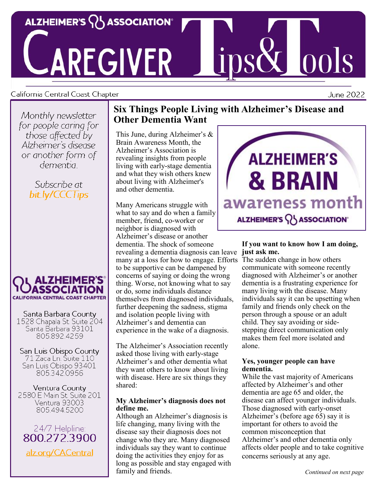

# AREGIVER

#### California Central Coast Chapter

Monthly newsletter for people caring for those affected by Alzheimer's disease or another form of dementia :

## Subscribe at bit.ly/CCCTips



Santa Barbara County 1528 Chapala St. Suite 204 Santa Barbara 93101 805.892.4259

San Luis Obispo County 71 Zaca Ln. Suite 110 San Luis Obispo 93401 805.342.0956

Ventura County 2580 E Main St. Suite 201 Ventura 93003 805.494.5200

24/7 Helpline: 800 272 3900 alz.org/CACentral

## **Six Things People Living with Alzheimer's Disease and Other Dementia Want**

This June, during Alzheimer's & Brain Awareness Month, the Alzheimer's Association is revealing insights from people living with early-stage dementia and what they wish others knew about living with Alzheimer's and other dementia.

Many Americans struggle with what to say and do when a family member, friend, co-worker or neighbor is diagnosed with Alzheimer's disease or another dementia. The shock of someone revealing a dementia diagnosis can leave **just ask me.** many at a loss for how to engage. Efforts to be supportive can be dampened by concerns of saying or doing the wrong thing. Worse, not knowing what to say or do, some individuals distance themselves from diagnosed individuals, further deepening the sadness, stigma and isolation people living with Alzheimer's and dementia can experience in the wake of a diagnosis.

The Alzheimer's Association recently asked those living with early-stage Alzheimer's and other dementia what they want others to know about living with disease. Here are six things they shared:

#### **My Alzheimer's diagnosis does not define me.**

Although an Alzheimer's diagnosis is life changing, many living with the disease say their diagnosis does not change who they are. Many diagnosed individuals say they want to continue doing the activities they enjoy for as long as possible and stay engaged with family and friends.



# **If you want to know how I am doing,**

The sudden change in how others communicate with someone recently diagnosed with Alzheimer's or another dementia is a frustrating experience for many living with the disease. Many individuals say it can be upsetting when family and friends only check on the person through a spouse or an adult child. They say avoiding or sidestepping direct communication only makes them feel more isolated and alone.

#### **Yes, younger people can have dementia.**

While the vast majority of Americans affected by Alzheimer's and other dementia are age 65 and older, the disease can affect younger individuals. Those diagnosed with early-onset Alzheimer's (before age 65) say it is important for others to avoid the common misconception that Alzheimer's and other dementia only affects older people and to take cognitive concerns seriously at any age.

June 2022

**ools**